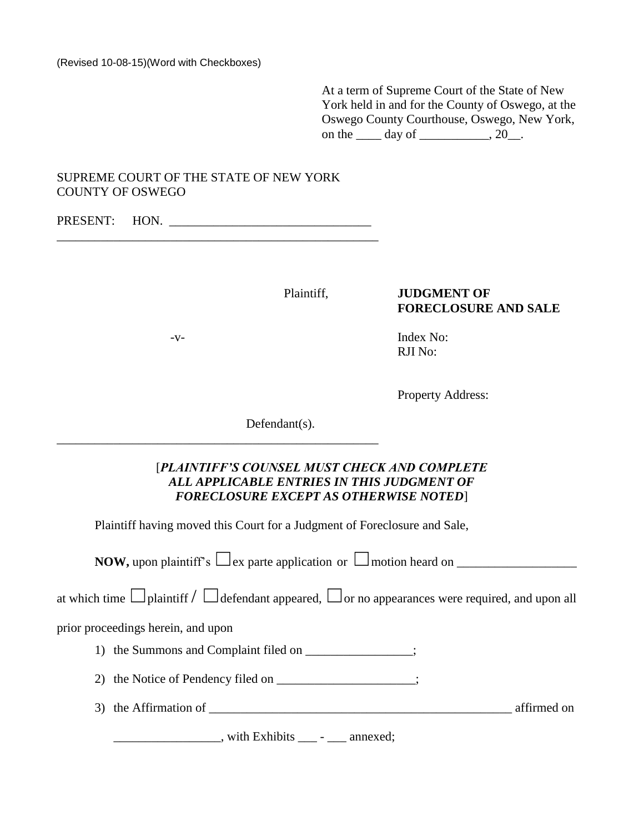At a term of Supreme Court of the State of New York held in and for the County of Oswego, at the Oswego County Courthouse, Oswego, New York, on the  $\frac{day \text{ of}}{x}$  . 20.

# SUPREME COURT OF THE STATE OF NEW YORK COUNTY OF OSWEGO

PRESENT: HON. \_\_\_\_\_\_\_\_\_\_\_\_\_\_\_\_\_\_\_\_\_\_\_\_\_\_\_\_\_\_\_\_\_\_\_\_\_\_\_\_\_\_\_\_\_\_\_\_\_\_\_

\_\_\_\_\_\_\_\_\_\_\_\_\_\_\_\_\_\_\_\_\_\_\_\_\_\_\_\_\_\_\_\_\_\_\_\_\_\_\_\_\_\_\_\_\_\_\_\_\_\_\_

# Plaintiff, **JUDGMENT OF FORECLOSURE AND SALE**

-v- Index No: RJI No:

Property Address:

Defendant(s).

# [*PLAINTIFF'S COUNSEL MUST CHECK AND COMPLETE ALL APPLICABLE ENTRIES IN THIS JUDGMENT OF FORECLOSURE EXCEPT AS OTHERWISE NOTED*]

Plaintiff having moved this Court for a Judgment of Foreclosure and Sale,

**NOW,** upon plaintiff's  $\Box$ ex parte application or  $\Box$ motion heard on  $\Box$ 

at which time  $\Box$ plaintiff  $\Box$  defendant appeared,  $\Box$  or no appearances were required, and upon all

prior proceedings herein, and upon

- 1) the Summons and Complaint filed on \_\_\_\_\_\_\_\_\_\_\_\_\_\_;
- 2) the Notice of Pendency filed on \_\_\_\_\_\_\_\_\_\_\_\_\_\_\_\_\_;
- 3) the Affirmation of \_\_\_\_\_\_\_\_\_\_\_\_\_\_\_\_\_\_\_\_\_\_\_\_\_\_\_\_\_\_\_\_\_\_\_\_\_\_\_\_\_\_\_\_\_\_\_\_ affirmed on

\_\_\_\_\_\_\_\_\_\_\_\_\_\_\_\_\_, with Exhibits \_\_\_ - \_\_\_ annexed;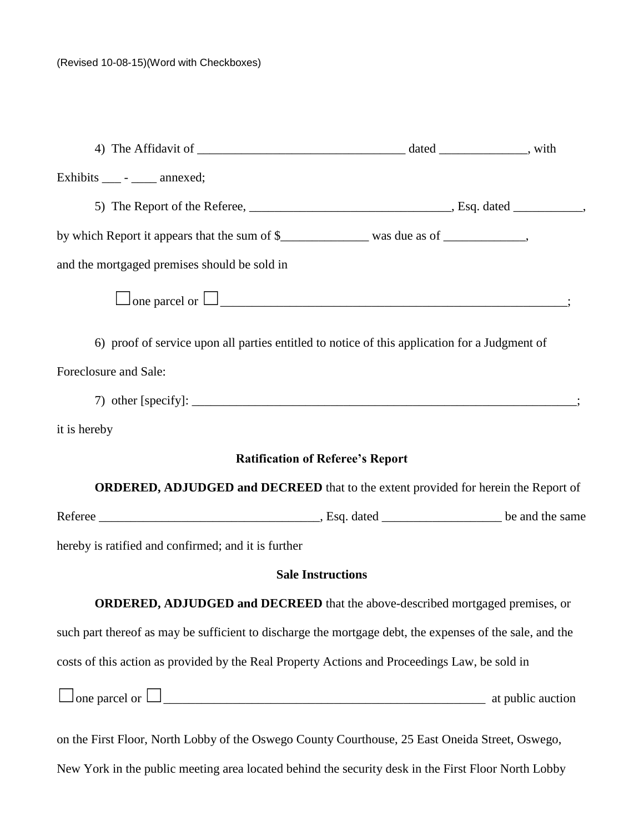| Exhibits ____ - _____ annexed;                                                                           |                                         |  |
|----------------------------------------------------------------------------------------------------------|-----------------------------------------|--|
|                                                                                                          |                                         |  |
| by which Report it appears that the sum of \$__________________ was due as of ______________,            |                                         |  |
| and the mortgaged premises should be sold in                                                             |                                         |  |
| $\Box$ one parcel or $\Box$                                                                              |                                         |  |
| 6) proof of service upon all parties entitled to notice of this application for a Judgment of            |                                         |  |
| Foreclosure and Sale:                                                                                    |                                         |  |
|                                                                                                          |                                         |  |
| it is hereby                                                                                             |                                         |  |
|                                                                                                          | <b>Ratification of Referee's Report</b> |  |
| ORDERED, ADJUDGED and DECREED that to the extent provided for herein the Report of                       |                                         |  |
|                                                                                                          |                                         |  |
| hereby is ratified and confirmed; and it is further                                                      |                                         |  |
|                                                                                                          | <b>Sale Instructions</b>                |  |
| <b>ORDERED, ADJUDGED and DECREED</b> that the above-described mortgaged premises, or                     |                                         |  |
| such part thereof as may be sufficient to discharge the mortgage debt, the expenses of the sale, and the |                                         |  |
| costs of this action as provided by the Real Property Actions and Proceedings Law, be sold in            |                                         |  |
|                                                                                                          |                                         |  |
| on the First Floor, North Lobby of the Oswego County Courthouse, 25 East Oneida Street, Oswego,          |                                         |  |

New York in the public meeting area located behind the security desk in the First Floor North Lobby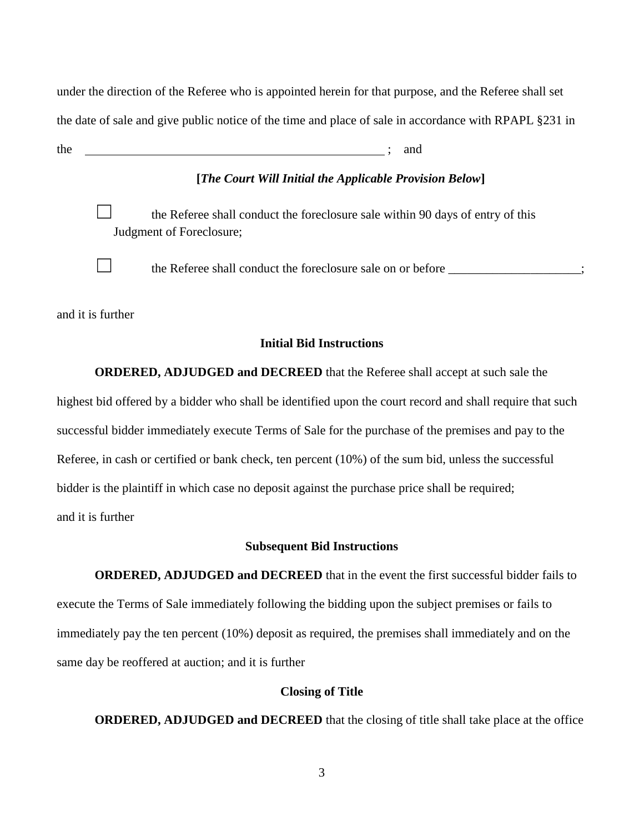under the direction of the Referee who is appointed herein for that purpose, and the Referee shall set the date of sale and give public notice of the time and place of sale in accordance with RPAPL §231 in

the state  $\mathbf{r}$  and  $\mathbf{r}$  and  $\mathbf{r}$  and  $\mathbf{r}$ 

# **[***The Court Will Initial the Applicable Provision Below***]**

the Referee shall conduct the foreclosure sale within 90 days of entry of this Judgment of Foreclosure;

☐ the Referee shall conduct the foreclosure sale on or before \_\_\_\_\_\_\_\_\_\_\_\_\_\_\_\_\_\_\_\_\_;

and it is further

# **Initial Bid Instructions**

**ORDERED, ADJUDGED and DECREED** that the Referee shall accept at such sale the highest bid offered by a bidder who shall be identified upon the court record and shall require that such successful bidder immediately execute Terms of Sale for the purchase of the premises and pay to the Referee, in cash or certified or bank check, ten percent (10%) of the sum bid, unless the successful bidder is the plaintiff in which case no deposit against the purchase price shall be required; and it is further

## **Subsequent Bid Instructions**

**ORDERED, ADJUDGED and DECREED** that in the event the first successful bidder fails to execute the Terms of Sale immediately following the bidding upon the subject premises or fails to immediately pay the ten percent (10%) deposit as required, the premises shall immediately and on the same day be reoffered at auction; and it is further

## **Closing of Title**

**ORDERED, ADJUDGED and DECREED** that the closing of title shall take place at the office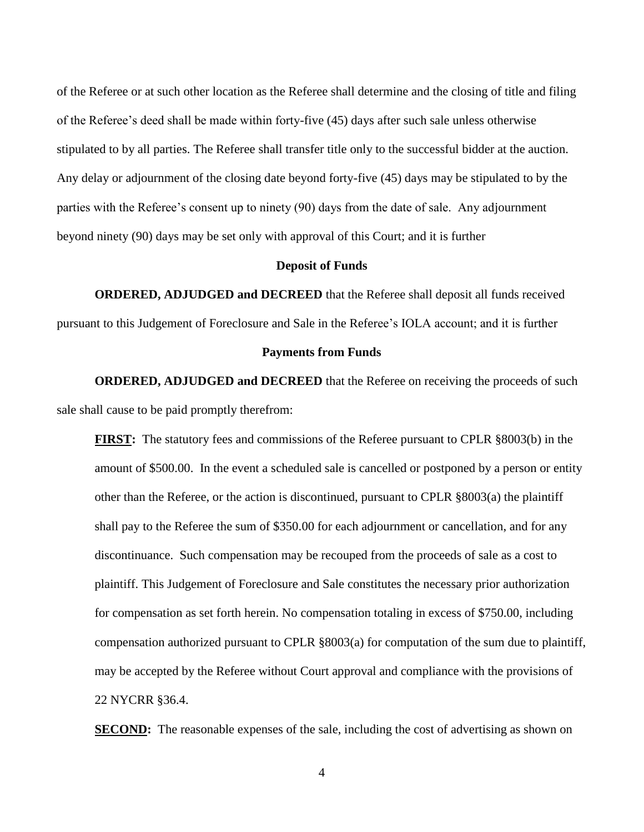of the Referee or at such other location as the Referee shall determine and the closing of title and filing of the Referee's deed shall be made within forty-five (45) days after such sale unless otherwise stipulated to by all parties. The Referee shall transfer title only to the successful bidder at the auction. Any delay or adjournment of the closing date beyond forty-five (45) days may be stipulated to by the parties with the Referee's consent up to ninety (90) days from the date of sale. Any adjournment beyond ninety (90) days may be set only with approval of this Court; and it is further

## **Deposit of Funds**

**ORDERED, ADJUDGED and DECREED** that the Referee shall deposit all funds received pursuant to this Judgement of Foreclosure and Sale in the Referee's IOLA account; and it is further

#### **Payments from Funds**

**ORDERED, ADJUDGED and DECREED** that the Referee on receiving the proceeds of such sale shall cause to be paid promptly therefrom:

**FIRST:** The statutory fees and commissions of the Referee pursuant to CPLR §8003(b) in the amount of \$500.00. In the event a scheduled sale is cancelled or postponed by a person or entity other than the Referee, or the action is discontinued, pursuant to CPLR §8003(a) the plaintiff shall pay to the Referee the sum of \$350.00 for each adjournment or cancellation, and for any discontinuance. Such compensation may be recouped from the proceeds of sale as a cost to plaintiff. This Judgement of Foreclosure and Sale constitutes the necessary prior authorization for compensation as set forth herein. No compensation totaling in excess of \$750.00, including compensation authorized pursuant to CPLR §8003(a) for computation of the sum due to plaintiff, may be accepted by the Referee without Court approval and compliance with the provisions of 22 NYCRR §36.4.

**SECOND:** The reasonable expenses of the sale, including the cost of advertising as shown on

4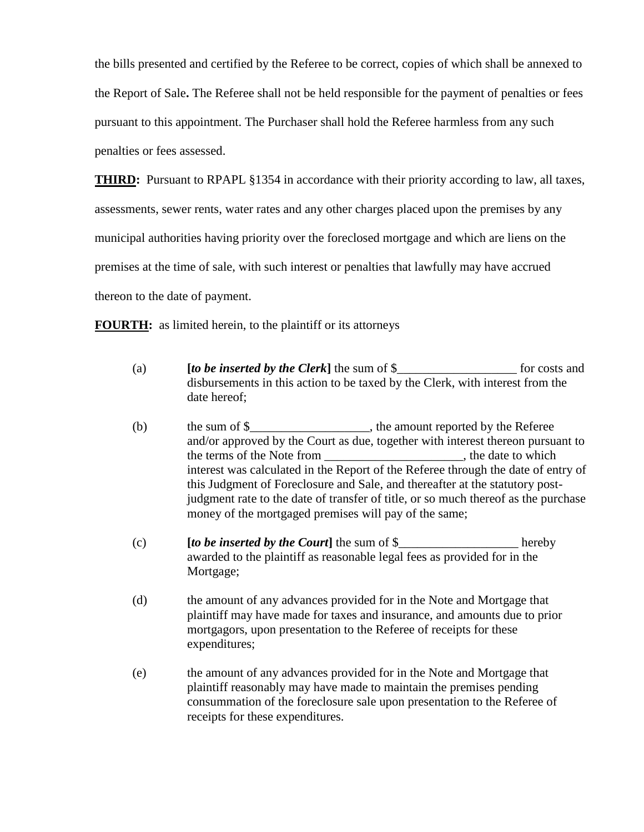the bills presented and certified by the Referee to be correct, copies of which shall be annexed to the Report of Sale**.** The Referee shall not be held responsible for the payment of penalties or fees pursuant to this appointment. The Purchaser shall hold the Referee harmless from any such penalties or fees assessed.

**THIRD:** Pursuant to RPAPL §1354 in accordance with their priority according to law, all taxes,

assessments, sewer rents, water rates and any other charges placed upon the premises by any

municipal authorities having priority over the foreclosed mortgage and which are liens on the

premises at the time of sale, with such interest or penalties that lawfully may have accrued

thereon to the date of payment.

**FOURTH:** as limited herein, to the plaintiff or its attorneys

- (a) **[***to be inserted by the Clerk***]** the sum of \$\_\_\_\_\_\_\_\_\_\_\_\_\_\_\_\_\_\_\_ for costs and disbursements in this action to be taxed by the Clerk, with interest from the date hereof;
- (b) the sum of \$\_\_\_\_\_\_\_\_\_\_\_\_\_\_\_\_\_\_\_, the amount reported by the Referee and/or approved by the Court as due, together with interest thereon pursuant to the terms of the Note from the state to which the date to which interest was calculated in the Report of the Referee through the date of entry of this Judgment of Foreclosure and Sale, and thereafter at the statutory postjudgment rate to the date of transfer of title, or so much thereof as the purchase money of the mortgaged premises will pay of the same;
- (c) **[***to be inserted by the Court***]** the sum of \$\_\_\_\_\_\_\_\_\_\_\_\_\_\_\_\_\_\_\_ hereby awarded to the plaintiff as reasonable legal fees as provided for in the Mortgage;
- (d) the amount of any advances provided for in the Note and Mortgage that plaintiff may have made for taxes and insurance, and amounts due to prior mortgagors, upon presentation to the Referee of receipts for these expenditures;
- (e) the amount of any advances provided for in the Note and Mortgage that plaintiff reasonably may have made to maintain the premises pending consummation of the foreclosure sale upon presentation to the Referee of receipts for these expenditures.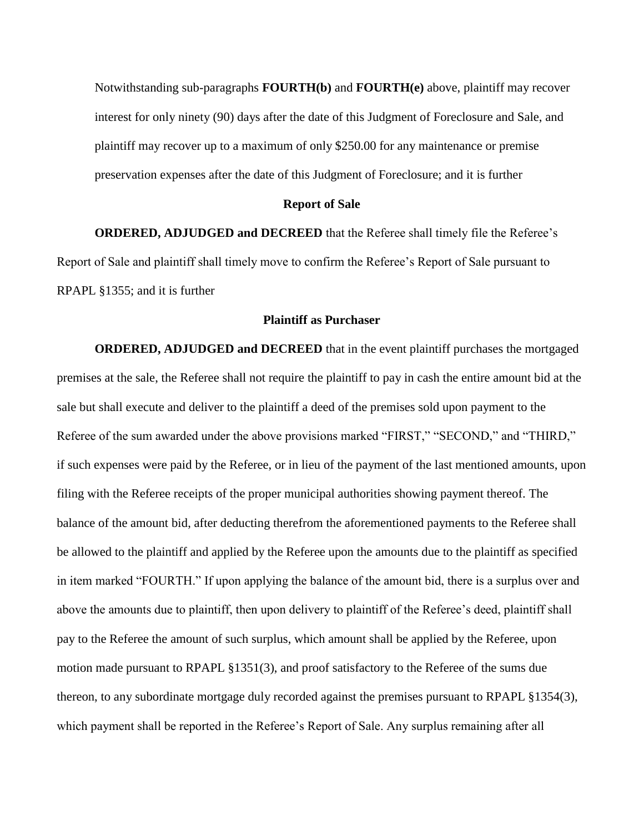Notwithstanding sub-paragraphs **FOURTH(b)** and **FOURTH(e)** above, plaintiff may recover interest for only ninety (90) days after the date of this Judgment of Foreclosure and Sale, and plaintiff may recover up to a maximum of only \$250.00 for any maintenance or premise preservation expenses after the date of this Judgment of Foreclosure; and it is further

#### **Report of Sale**

**ORDERED, ADJUDGED and DECREED** that the Referee shall timely file the Referee's Report of Sale and plaintiff shall timely move to confirm the Referee's Report of Sale pursuant to RPAPL §1355; and it is further

# **Plaintiff as Purchaser**

**ORDERED, ADJUDGED and DECREED** that in the event plaintiff purchases the mortgaged premises at the sale, the Referee shall not require the plaintiff to pay in cash the entire amount bid at the sale but shall execute and deliver to the plaintiff a deed of the premises sold upon payment to the Referee of the sum awarded under the above provisions marked "FIRST," "SECOND," and "THIRD," if such expenses were paid by the Referee, or in lieu of the payment of the last mentioned amounts, upon filing with the Referee receipts of the proper municipal authorities showing payment thereof. The balance of the amount bid, after deducting therefrom the aforementioned payments to the Referee shall be allowed to the plaintiff and applied by the Referee upon the amounts due to the plaintiff as specified in item marked "FOURTH." If upon applying the balance of the amount bid, there is a surplus over and above the amounts due to plaintiff, then upon delivery to plaintiff of the Referee's deed, plaintiff shall pay to the Referee the amount of such surplus, which amount shall be applied by the Referee, upon motion made pursuant to RPAPL §1351(3), and proof satisfactory to the Referee of the sums due thereon, to any subordinate mortgage duly recorded against the premises pursuant to RPAPL §1354(3), which payment shall be reported in the Referee's Report of Sale. Any surplus remaining after all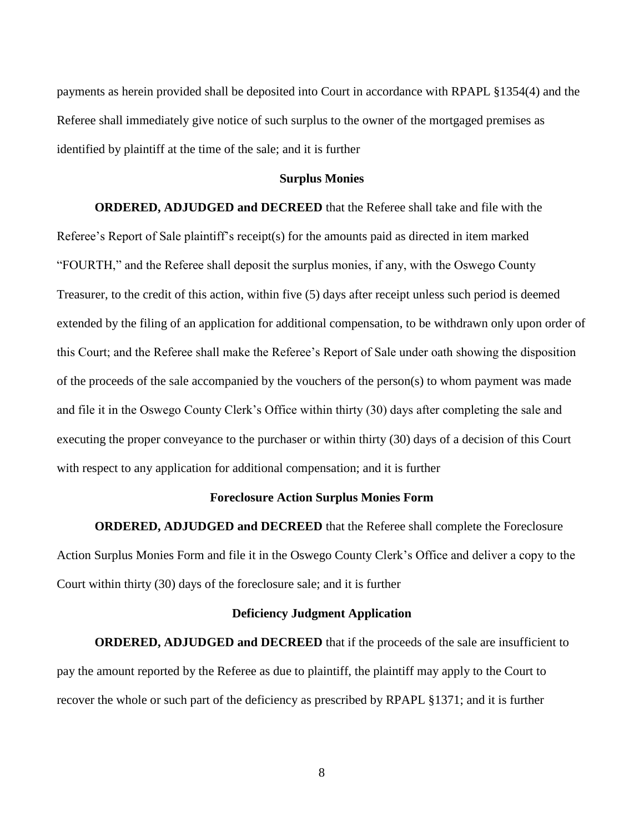payments as herein provided shall be deposited into Court in accordance with RPAPL §1354(4) and the Referee shall immediately give notice of such surplus to the owner of the mortgaged premises as identified by plaintiff at the time of the sale; and it is further

#### **Surplus Monies**

**ORDERED, ADJUDGED and DECREED** that the Referee shall take and file with the Referee's Report of Sale plaintiff's receipt(s) for the amounts paid as directed in item marked "FOURTH," and the Referee shall deposit the surplus monies, if any, with the Oswego County Treasurer, to the credit of this action, within five (5) days after receipt unless such period is deemed extended by the filing of an application for additional compensation, to be withdrawn only upon order of this Court; and the Referee shall make the Referee's Report of Sale under oath showing the disposition of the proceeds of the sale accompanied by the vouchers of the person(s) to whom payment was made and file it in the Oswego County Clerk's Office within thirty (30) days after completing the sale and executing the proper conveyance to the purchaser or within thirty (30) days of a decision of this Court with respect to any application for additional compensation; and it is further

# **Foreclosure Action Surplus Monies Form**

**ORDERED, ADJUDGED and DECREED** that the Referee shall complete the Foreclosure Action Surplus Monies Form and file it in the Oswego County Clerk's Office and deliver a copy to the Court within thirty (30) days of the foreclosure sale; and it is further

## **Deficiency Judgment Application**

**ORDERED, ADJUDGED and DECREED** that if the proceeds of the sale are insufficient to pay the amount reported by the Referee as due to plaintiff, the plaintiff may apply to the Court to recover the whole or such part of the deficiency as prescribed by RPAPL §1371; and it is further

8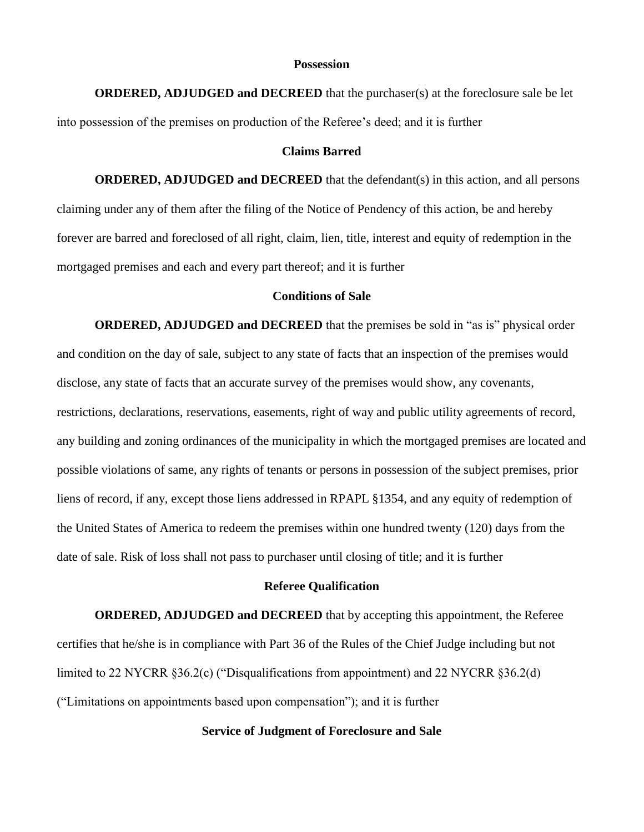### **Possession**

**ORDERED, ADJUDGED and DECREED** that the purchaser(s) at the foreclosure sale be let into possession of the premises on production of the Referee's deed; and it is further

#### **Claims Barred**

**ORDERED, ADJUDGED and DECREED** that the defendant(s) in this action, and all persons claiming under any of them after the filing of the Notice of Pendency of this action, be and hereby forever are barred and foreclosed of all right, claim, lien, title, interest and equity of redemption in the mortgaged premises and each and every part thereof; and it is further

# **Conditions of Sale**

**ORDERED, ADJUDGED and DECREED** that the premises be sold in "as is" physical order and condition on the day of sale, subject to any state of facts that an inspection of the premises would disclose, any state of facts that an accurate survey of the premises would show, any covenants, restrictions, declarations, reservations, easements, right of way and public utility agreements of record, any building and zoning ordinances of the municipality in which the mortgaged premises are located and possible violations of same, any rights of tenants or persons in possession of the subject premises, prior liens of record, if any, except those liens addressed in RPAPL §1354, and any equity of redemption of the United States of America to redeem the premises within one hundred twenty (120) days from the date of sale. Risk of loss shall not pass to purchaser until closing of title; and it is further

### **Referee Qualification**

**ORDERED, ADJUDGED and DECREED** that by accepting this appointment, the Referee certifies that he/she is in compliance with Part 36 of the Rules of the Chief Judge including but not limited to 22 NYCRR §36.2(c) ("Disqualifications from appointment) and 22 NYCRR §36.2(d) ("Limitations on appointments based upon compensation"); and it is further

# **Service of Judgment of Foreclosure and Sale**